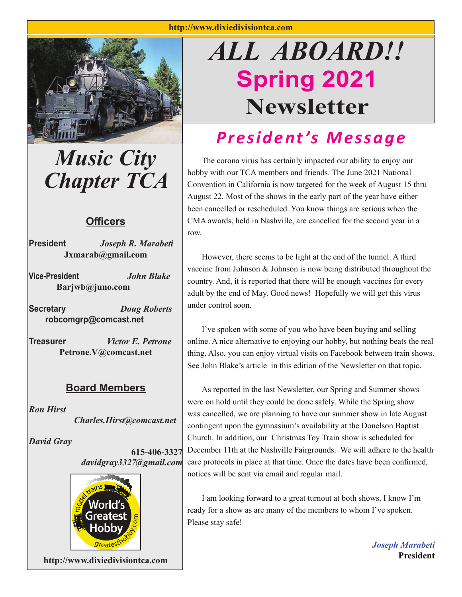

*Music City Chapter TCA*

#### **Offi cers**

**President** *Joseph R. Marabeti* **Jxmarab@gmail.com**

**Vice-President** *John Blake* **Barjwb@juno.com**

**Secretary** *Doug Roberts*  **robcomgrp@comcast.net**

**Treasurer** *Victor E. Petrone* **Petrone.V@comcast.net**

#### **Board Members**

*Ron Hirst Charles.Hirst@comcast.net*

*David Gray*

**615-406-3327** *davidgray3327@gmail.com*



**http://www.dixiedivisiontca.com**

# *ALL ABOARD!!* **Spring 2021 Newsletter**

## *President's Message*

The corona virus has certainly impacted our ability to enjoy our hobby with our TCA members and friends. The June 2021 National Convention in California is now targeted for the week of August 15 thru August 22. Most of the shows in the early part of the year have either been cancelled or rescheduled. You know things are serious when the CMA awards, held in Nashville, are cancelled for the second year in a row.

 However, there seems to be light at the end of the tunnel. A third vaccine from Johnson & Johnson is now being distributed throughout the country. And, it is reported that there will be enough vaccines for every adult by the end of May. Good news! Hopefully we will get this virus under control soon.

 I've spoken with some of you who have been buying and selling online. A nice alternative to enjoying our hobby, but nothing beats the real thing. Also, you can enjoy virtual visits on Facebook between train shows. See John Blake's article in this edition of the Newsletter on that topic.

 As reported in the last Newsletter, our Spring and Summer shows were on hold until they could be done safely. While the Spring show was cancelled, we are planning to have our summer show in late August contingent upon the gymnasium's availability at the Donelson Baptist Church. In addition, our Christmas Toy Train show is scheduled for December 11th at the Nashville Fairgrounds. We will adhere to the health care protocols in place at that time. Once the dates have been confirmed, notices will be sent via email and regular mail.

 I am looking forward to a great turnout at both shows. I know I'm ready for a show as are many of the members to whom I've spoken. Please stay safe!

> *Joseph Marabeti* **President**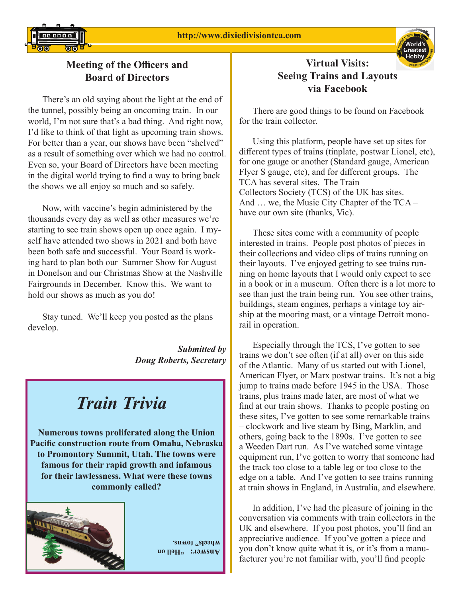

#### **Meeting of the Officers and Board of Directors**

 There's an old saying about the light at the end of the tunnel, possibly being an oncoming train. In our world, I'm not sure that's a bad thing. And right now, I'd like to think of that light as upcoming train shows. For better than a year, our shows have been "shelved" as a result of something over which we had no control. Even so, your Board of Directors have been meeting in the digital world trying to find a way to bring back the shows we all enjoy so much and so safely.

 Now, with vaccine's begin administered by the thousands every day as well as other measures we're starting to see train shows open up once again. I myself have attended two shows in 2021 and both have been both safe and successful. Your Board is working hard to plan both our Summer Show for August in Donelson and our Christmas Show at the Nashville Fairgrounds in December. Know this. We want to hold our shows as much as you do!

 Stay tuned. We'll keep you posted as the plans develop.

> *Submitted by Doug Roberts, Secretary*

### *Train Trivia*

**Numerous towns proliferated along the Union Pacific construction route from Omaha, Nebraska to Promontory Summit, Utah. The towns were famous for their rapid growth and infamous for their lawlessness. What were these towns commonly called?** 



uo [[**a**H, :Jamsuv wheels" towns.

#### **Virtual Visits: Seeing Trains and Layouts via Facebook**

 There are good things to be found on Facebook for the train collector.

 Using this platform, people have set up sites for different types of trains (tinplate, postwar Lionel, etc), for one gauge or another (Standard gauge, American Flyer S gauge, etc), and for different groups. The TCA has several sites. The Train Collectors Society (TCS) of the UK has sites. And … we, the Music City Chapter of the TCA – have our own site (thanks, Vic).

 These sites come with a community of people interested in trains. People post photos of pieces in their collections and video clips of trains running on their layouts. I've enjoyed getting to see trains running on home layouts that I would only expect to see in a book or in a museum. Often there is a lot more to see than just the train being run. You see other trains, buildings, steam engines, perhaps a vintage toy airship at the mooring mast, or a vintage Detroit monorail in operation.

 Especially through the TCS, I've gotten to see trains we don't see often (if at all) over on this side of the Atlantic. Many of us started out with Lionel, American Flyer, or Marx postwar trains. It's not a big jump to trains made before 1945 in the USA. Those trains, plus trains made later, are most of what we find at our train shows. Thanks to people posting on these sites, I've gotten to see some remarkable trains – clockwork and live steam by Bing, Marklin, and others, going back to the 1890s. I've gotten to see a Weeden Dart run. As I've watched some vintage equipment run, I've gotten to worry that someone had the track too close to a table leg or too close to the edge on a table. And I've gotten to see trains running at train shows in England, in Australia, and elsewhere.

 In addition, I've had the pleasure of joining in the conversation via comments with train collectors in the UK and elsewhere. If you post photos, you'll find an appreciative audience. If you've gotten a piece and you don't know quite what it is, or it's from a manufacturer you're not familiar with, you'll find people